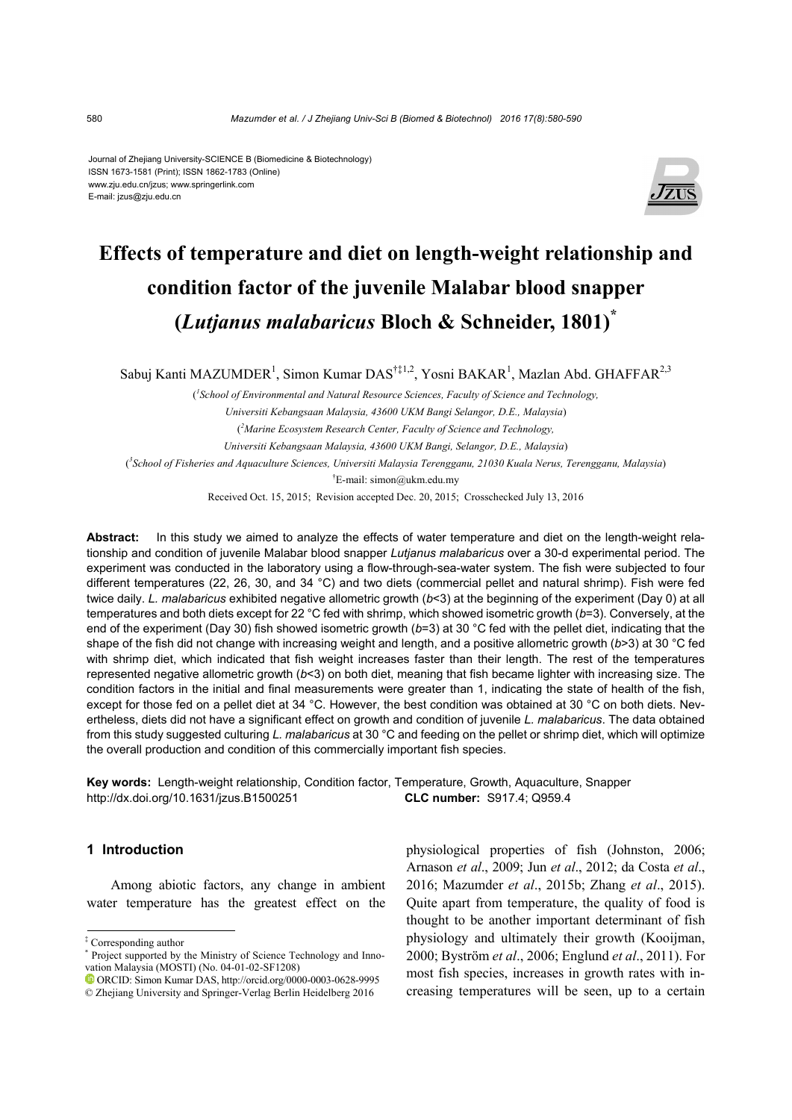#### Journal of Zhejiang University-SCIENCE B (Biomedicine & Biotechnology) ISSN 1673-1581 (Print); ISSN 1862-1783 (Online) www.zju.edu.cn/jzus; www.springerlink.com E-mail: jzus@zju.edu.cn



# **Effects of temperature and diet on length-weight relationship and condition factor of the juvenile Malabar blood snapper (***Lutjanus malabaricus* **Bloch & Schneider, 1801)\***

Sabuj Kanti MAZUMDER<sup>1</sup>, Simon Kumar DAS<sup>†‡1,2</sup>, Yosni BAKAR<sup>1</sup>, Mazlan Abd. GHAFFAR<sup>2,3</sup>

( *1 School of Environmental and Natural Resource Sciences, Faculty of Science and Technology, Universiti Kebangsaan Malaysia, 43600 UKM Bangi Selangor, D.E., Malaysia*) ( *2 Marine Ecosystem Research Center, Faculty of Science and Technology, Universiti Kebangsaan Malaysia, 43600 UKM Bangi, Selangor, D.E., Malaysia*) ( *3 School of Fisheries and Aquaculture Sciences, Universiti Malaysia Terengganu, 21030 Kuala Nerus, Terengganu, Malaysia*) † E-mail: simon@ukm.edu.my

Received Oct. 15, 2015; Revision accepted Dec. 20, 2015; Crosschecked July 13, 2016

**Abstract:** In this study we aimed to analyze the effects of water temperature and diet on the length-weight relationship and condition of juvenile Malabar blood snapper *Lutjanus malabaricus* over a 30-d experimental period. The experiment was conducted in the laboratory using a flow-through-sea-water system. The fish were subjected to four different temperatures (22, 26, 30, and 34 °C) and two diets (commercial pellet and natural shrimp). Fish were fed twice daily. *L. malabaricus* exhibited negative allometric growth (*b*<3) at the beginning of the experiment (Day 0) at all temperatures and both diets except for 22 °C fed with shrimp, which showed isometric growth (*b*=3). Conversely, at the end of the experiment (Day 30) fish showed isometric growth (*b*=3) at 30 °C fed with the pellet diet, indicating that the shape of the fish did not change with increasing weight and length, and a positive allometric growth (*b*>3) at 30 °C fed with shrimp diet, which indicated that fish weight increases faster than their length. The rest of the temperatures represented negative allometric growth (*b*<3) on both diet, meaning that fish became lighter with increasing size. The condition factors in the initial and final measurements were greater than 1, indicating the state of health of the fish, except for those fed on a pellet diet at 34 °C. However, the best condition was obtained at 30 °C on both diets. Nevertheless, diets did not have a significant effect on growth and condition of juvenile *L. malabaricus*. The data obtained from this study suggested culturing *L. malabaricus* at 30 °C and feeding on the pellet or shrimp diet, which will optimize the overall production and condition of this commercially important fish species.

**Key words:** Length-weight relationship, Condition factor, Temperature, Growth, Aquaculture, Snapper http://dx.doi.org/10.1631/jzus.B1500251 **CLC number:** S917.4; Q959.4

# **1 Introduction**

Among abiotic factors, any change in ambient water temperature has the greatest effect on the

‡ Corresponding author

physiological properties of fish (Johnston, 2006; Arnason *et al*., 2009; Jun *et al*., 2012; da Costa *et al*., 2016; Mazumder *et al*., 2015b; Zhang *et al*., 2015). Quite apart from temperature, the quality of food is thought to be another important determinant of fish physiology and ultimately their growth (Kooijman, 2000; Byström *et al*., 2006; Englund *et al*., 2011). For most fish species, increases in growth rates with increasing temperatures will be seen, up to a certain

<sup>\*</sup> Project supported by the Ministry of Science Technology and Innovation Malaysia (MOSTI) (No. 04-01-02-SF1208)

ORCID: Simon Kumar DAS, http://orcid.org/0000-0003-0628-9995 © Zhejiang University and Springer-Verlag Berlin Heidelberg 2016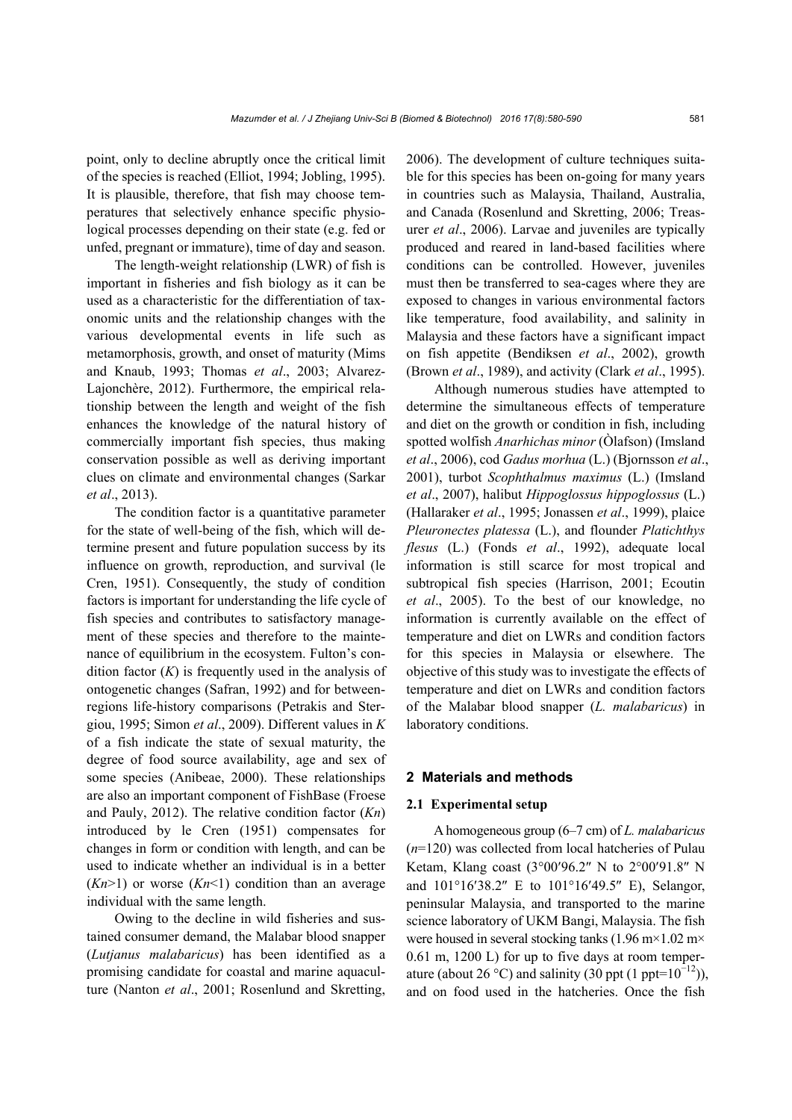point, only to decline abruptly once the critical limit of the species is reached (Elliot, 1994; Jobling, 1995). It is plausible, therefore, that fish may choose temperatures that selectively enhance specific physiological processes depending on their state (e.g. fed or unfed, pregnant or immature), time of day and season.

The length-weight relationship (LWR) of fish is important in fisheries and fish biology as it can be used as a characteristic for the differentiation of taxonomic units and the relationship changes with the various developmental events in life such as metamorphosis, growth, and onset of maturity (Mims and Knaub, 1993; Thomas *et al*., 2003; Alvarez-Lajonchère, 2012). Furthermore, the empirical relationship between the length and weight of the fish enhances the knowledge of the natural history of commercially important fish species, thus making conservation possible as well as deriving important clues on climate and environmental changes (Sarkar *et al*., 2013).

The condition factor is a quantitative parameter for the state of well-being of the fish, which will determine present and future population success by its influence on growth, reproduction, and survival (le Cren, 1951). Consequently, the study of condition factors is important for understanding the life cycle of fish species and contributes to satisfactory management of these species and therefore to the maintenance of equilibrium in the ecosystem. Fulton's condition factor  $(K)$  is frequently used in the analysis of ontogenetic changes (Safran, 1992) and for betweenregions life-history comparisons (Petrakis and Stergiou, 1995; Simon *et al*., 2009). Different values in *K* of a fish indicate the state of sexual maturity, the degree of food source availability, age and sex of some species (Anibeae, 2000). These relationships are also an important component of FishBase (Froese and Pauly, 2012). The relative condition factor (*Kn*) introduced by le Cren (1951) compensates for changes in form or condition with length, and can be used to indicate whether an individual is in a better  $(Kn>1)$  or worse  $(Kn<1)$  condition than an average individual with the same length.

Owing to the decline in wild fisheries and sustained consumer demand, the Malabar blood snapper (*Lutjanus malabaricus*) has been identified as a promising candidate for coastal and marine aquaculture (Nanton *et al*., 2001; Rosenlund and Skretting, 2006). The development of culture techniques suitable for this species has been on-going for many years in countries such as Malaysia, Thailand, Australia, and Canada (Rosenlund and Skretting, 2006; Treasurer *et al*., 2006). Larvae and juveniles are typically produced and reared in land-based facilities where conditions can be controlled. However, juveniles must then be transferred to sea-cages where they are exposed to changes in various environmental factors like temperature, food availability, and salinity in Malaysia and these factors have a significant impact on fish appetite (Bendiksen *et al*., 2002), growth (Brown *et al*., 1989), and activity (Clark *et al*., 1995).

Although numerous studies have attempted to determine the simultaneous effects of temperature and diet on the growth or condition in fish, including spotted wolfish *Anarhichas minor* (Òlafson) (Imsland *et al*., 2006), cod *Gadus morhua* (L.) (Bjornsson *et al*., 2001), turbot *Scophthalmus maximus* (L.) (Imsland *et al*., 2007), halibut *Hippoglossus hippoglossus* (L.) (Hallaraker *et al*., 1995; Jonassen *et al*., 1999), plaice *Pleuronectes platessa* (L.), and flounder *Platichthys flesus* (L.) (Fonds *et al*., 1992), adequate local information is still scarce for most tropical and subtropical fish species (Harrison, 2001; Ecoutin *et al*., 2005). To the best of our knowledge, no information is currently available on the effect of temperature and diet on LWRs and condition factors for this species in Malaysia or elsewhere. The objective of this study was to investigate the effects of temperature and diet on LWRs and condition factors of the Malabar blood snapper (*L. malabaricus*) in laboratory conditions.

## **2 Materials and methods**

#### **2.1 Experimental setup**

A homogeneous group (6–7 cm) of *L. malabaricus* (*n*=120) was collected from local hatcheries of Pulau Ketam, Klang coast (3°00'96.2" N to 2°00'91.8" N and  $101^{\circ}16'38.2''$  E to  $101^{\circ}16'49.5''$  E), Selangor, peninsular Malaysia, and transported to the marine science laboratory of UKM Bangi, Malaysia. The fish were housed in several stocking tanks (1.96 m×1.02 m× 0.61 m, 1200 L) for up to five days at room temperature (about 26 °C) and salinity (30 ppt (1 ppt= $10^{-12}$ )), and on food used in the hatcheries. Once the fish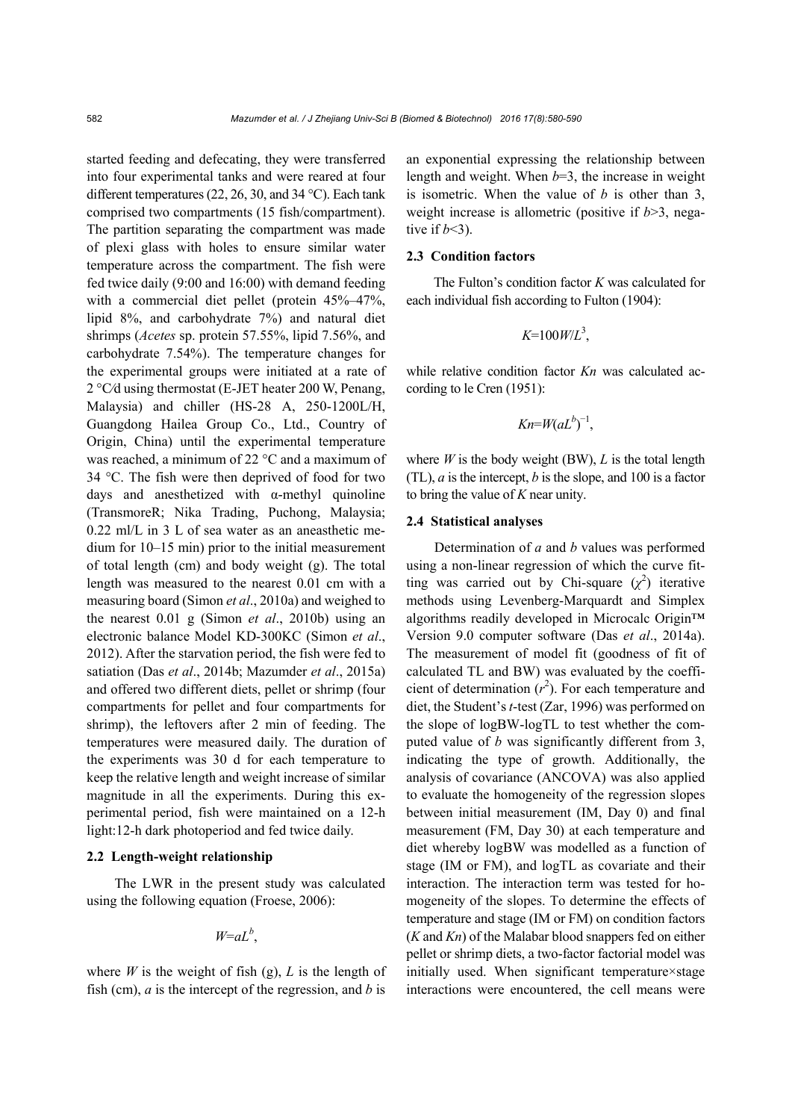started feeding and defecating, they were transferred into four experimental tanks and were reared at four different temperatures (22, 26, 30, and 34 °C). Each tank comprised two compartments (15 fish/compartment). The partition separating the compartment was made of plexi glass with holes to ensure similar water temperature across the compartment. The fish were fed twice daily (9:00 and 16:00) with demand feeding with a commercial diet pellet (protein  $45\% - 47\%$ , lipid 8%, and carbohydrate 7%) and natural diet shrimps (*Acetes* sp. protein 57.55%, lipid 7.56%, and carbohydrate 7.54%). The temperature changes for the experimental groups were initiated at a rate of 2 °C⁄d using thermostat (E-JET heater 200 W, Penang, Malaysia) and chiller (HS-28 A, 250-1200L/H, Guangdong Hailea Group Co., Ltd., Country of Origin, China) until the experimental temperature was reached, a minimum of 22 °C and a maximum of 34 °C. The fish were then deprived of food for two days and anesthetized with α-methyl quinoline (TransmoreR; Nika Trading, Puchong, Malaysia; 0.22 ml/L in 3 L of sea water as an aneasthetic medium for 10‒15 min) prior to the initial measurement of total length (cm) and body weight (g). The total length was measured to the nearest 0.01 cm with a measuring board (Simon *et al*., 2010a) and weighed to the nearest 0.01 g (Simon *et al*., 2010b) using an electronic balance Model KD-300KC (Simon *et al*., 2012). After the starvation period, the fish were fed to satiation (Das *et al*., 2014b; Mazumder *et al*., 2015a) and offered two different diets, pellet or shrimp (four compartments for pellet and four compartments for shrimp), the leftovers after 2 min of feeding. The temperatures were measured daily. The duration of the experiments was 30 d for each temperature to keep the relative length and weight increase of similar magnitude in all the experiments. During this experimental period, fish were maintained on a 12-h light:12-h dark photoperiod and fed twice daily.

# **2.2 Length-weight relationship**

The LWR in the present study was calculated using the following equation (Froese, 2006):

$$
W=aL^b,
$$

where *W* is the weight of fish (g), *L* is the length of fish (cm), *a* is the intercept of the regression, and *b* is

an exponential expressing the relationship between length and weight. When *b*=3, the increase in weight is isometric. When the value of *b* is other than 3, weight increase is allometric (positive if *b*>3, negative if  $b<3$ ).

# **2.3 Condition factors**

The Fulton's condition factor *K* was calculated for each individual fish according to Fulton (1904):

$$
K=100W/L^3,
$$

while relative condition factor  $Kn$  was calculated according to le Cren (1951):

$$
Kn=W(aL^b)^{-1},
$$

where  $W$  is the body weight (BW),  $L$  is the total length (TL), *a* is the intercept, *b* is the slope, and 100 is a factor to bring the value of *K* near unity.

# **2.4 Statistical analyses**

Determination of *a* and *b* values was performed using a non-linear regression of which the curve fitting was carried out by Chi-square  $(\chi^2)$  iterative methods using Levenberg-Marquardt and Simplex algorithms readily developed in Microcalc Origin™ Version 9.0 computer software (Das *et al*., 2014a). The measurement of model fit (goodness of fit of calculated TL and BW) was evaluated by the coefficient of determination  $(r^2)$ . For each temperature and diet, the Student's *t*-test (Zar, 1996) was performed on the slope of logBW-logTL to test whether the computed value of *b* was significantly different from 3, indicating the type of growth. Additionally, the analysis of covariance (ANCOVA) was also applied to evaluate the homogeneity of the regression slopes between initial measurement (IM, Day 0) and final measurement (FM, Day 30) at each temperature and diet whereby logBW was modelled as a function of stage (IM or FM), and logTL as covariate and their interaction. The interaction term was tested for homogeneity of the slopes. To determine the effects of temperature and stage (IM or FM) on condition factors (*K* and *Kn*) of the Malabar blood snappers fed on either pellet or shrimp diets, a two-factor factorial model was initially used. When significant temperature×stage interactions were encountered, the cell means were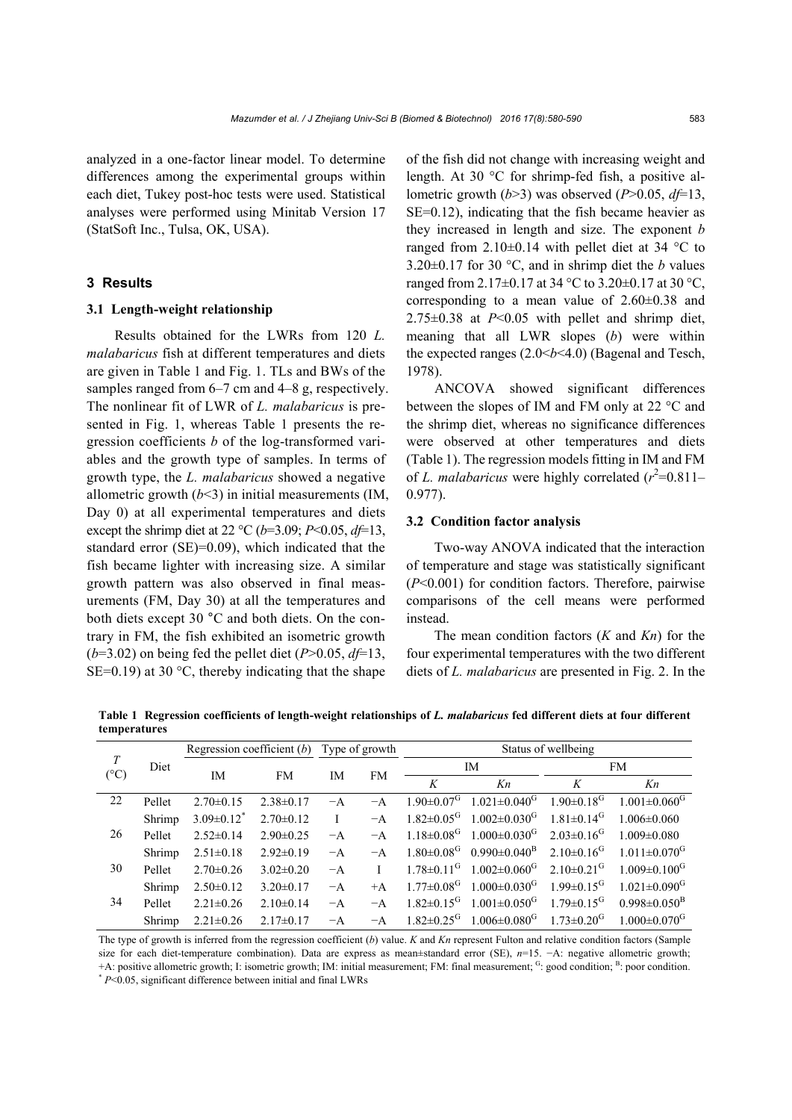analyzed in a one-factor linear model. To determine differences among the experimental groups within each diet, Tukey post-hoc tests were used. Statistical analyses were performed using Minitab Version 17 (StatSoft Inc., Tulsa, OK, USA).

#### **3 Results**

#### **3.1 Length-weight relationship**

Results obtained for the LWRs from 120 *L. malabaricus* fish at different temperatures and diets are given in Table 1 and Fig. 1. TLs and BWs of the samples ranged from 6–7 cm and 4–8 g, respectively. The nonlinear fit of LWR of *L. malabaricus* is presented in Fig. 1, whereas Table 1 presents the regression coefficients *b* of the log-transformed variables and the growth type of samples. In terms of growth type, the *L. malabaricus* showed a negative allometric growth  $(b<3)$  in initial measurements (IM, Day 0) at all experimental temperatures and diets except the shrimp diet at 22 °C ( $b=3.09$ ; *P*<0.05,  $df=13$ , standard error (SE)=0.09), which indicated that the fish became lighter with increasing size. A similar growth pattern was also observed in final measurements (FM, Day 30) at all the temperatures and both diets except 30 °C and both diets. On the contrary in FM, the fish exhibited an isometric growth  $(b=3.02)$  on being fed the pellet diet (*P*>0.05, *d* $f=13$ , SE=0.19) at 30  $\degree$ C, thereby indicating that the shape

of the fish did not change with increasing weight and length. At 30 °C for shrimp-fed fish, a positive allometric growth (*b*>3) was observed (*P*>0.05, *df*=13, SE=0.12), indicating that the fish became heavier as they increased in length and size. The exponent *b* ranged from  $2.10\pm0.14$  with pellet diet at 34 °C to 3.20 $\pm$ 0.17 for 30 °C, and in shrimp diet the *b* values ranged from 2.17 $\pm$ 0.17 at 34 °C to 3.20 $\pm$ 0.17 at 30 °C, corresponding to a mean value of  $2.60\pm0.38$  and 2.75±0.38 at *P*<0.05 with pellet and shrimp diet, meaning that all LWR slopes (*b*) were within the expected ranges (2.0<*b*<4.0) (Bagenal and Tesch, 1978).

ANCOVA showed significant differences between the slopes of IM and FM only at 22 °C and the shrimp diet, whereas no significance differences were observed at other temperatures and diets (Table 1). The regression models fitting in IM and FM of *L. malabaricus* were highly correlated  $(r^2=0.811-$ 0.977).

#### **3.2 Condition factor analysis**

Two-way ANOVA indicated that the interaction of temperature and stage was statistically significant (*P*<0.001) for condition factors. Therefore, pairwise comparisons of the cell means were performed instead.

The mean condition factors (*K* and *Kn*) for the four experimental temperatures with the two different diets of *L. malabaricus* are presented in Fig. 2. In the

**Table 1 Regression coefficients of length-weight relationships of** *L. malabaricus* **fed different diets at four different temperatures** 

| $\boldsymbol{T}$<br>$(^{\circ}C)$ | Diet   | Regression coefficient $(b)$ |                 | Type of growth |      | Status of wellbeing          |                                                             |                              |                                |  |
|-----------------------------------|--------|------------------------------|-----------------|----------------|------|------------------------------|-------------------------------------------------------------|------------------------------|--------------------------------|--|
|                                   |        | IM                           | <b>FM</b>       | IM             | FM   | IM                           |                                                             | <b>FM</b>                    |                                |  |
|                                   |        |                              |                 |                |      | K                            | Kn                                                          | K                            | Kn                             |  |
| 22                                | Pellet | $2.70 \pm 0.15$              | $2.38\pm0.17$   | $-A$           | $-A$ |                              | $1.90 \pm 0.07$ <sup>G</sup> $1.021 \pm 0.040$ <sup>G</sup> | $1.90 \pm 0.18$ <sup>G</sup> | $1.001 \pm 0.060$ <sup>G</sup> |  |
|                                   | Shrimp | $3.09 \pm 0.12$ <sup>*</sup> | $2.70 \pm 0.12$ | L              | $-A$ | $1.82 \pm 0.05$ <sup>G</sup> | $1.002 \pm 0.030$ <sup>G</sup>                              | $1.81 \pm 0.14$ <sup>G</sup> | $1.006 \pm 0.060$              |  |
| 26                                | Pellet | $2.52\pm0.14$                | $2.90 \pm 0.25$ | $-A$           | $-A$ | $1.18 \pm 0.08$ <sup>G</sup> | $1.000 \pm 0.030$ <sup>G</sup>                              | $2.03 \pm 0.16$ <sup>G</sup> | $1.009 \pm 0.080$              |  |
|                                   | Shrimp | $2.51 \pm 0.18$              | $2.92\pm0.19$   | $-A$           | $-A$ | $1.80 \pm 0.08$ <sup>G</sup> | $0.990 \pm 0.040^{\rm B}$                                   | $2.10\pm0.16$ <sup>G</sup>   | $1.011 \pm 0.070$ <sup>G</sup> |  |
| 30                                | Pellet | $2.70 \pm 0.26$              | $3.02\pm0.20$   | $-A$           |      | $1.78 \pm 0.11$ <sup>G</sup> | $1.002 \pm 0.060$ <sup>G</sup>                              | $2.10\pm0.21$ <sup>G</sup>   | $1.009 \pm 0.100$ <sup>G</sup> |  |
|                                   | Shrimp | $2.50\pm0.12$                | $3.20 \pm 0.17$ | $-A$           | $+A$ | $1.77 \pm 0.08$ <sup>G</sup> | $1.000 \pm 0.030$ <sup>G</sup>                              | $1.99 \pm 0.15$ <sup>G</sup> | $1.021 \pm 0.090$ <sup>G</sup> |  |
| 34                                | Pellet | $2.21 \pm 0.26$              | $2.10\pm0.14$   | $-A$           | $-A$ | $1.82 \pm 0.15$ <sup>G</sup> | $1.001 \pm 0.050$ <sup>G</sup>                              | $1.79 \pm 0.15$ <sup>G</sup> | $0.998 \pm 0.050^{\rm B}$      |  |
|                                   | Shrimp | $2.21 \pm 0.26$              | $2.17\pm 0.17$  | $-A$           | $-A$ |                              | $1.82 \pm 0.25$ <sup>G</sup> $1.006 \pm 0.080$ <sup>G</sup> | $1.73 \pm 0.20$ <sup>G</sup> | $1.000 \pm 0.070$ <sup>G</sup> |  |

The type of growth is inferred from the regression coefficient (*b*) value. *K* and *Kn* represent Fulton and relative condition factors (Sample size for each diet-temperature combination). Data are express as mean±standard error (SE), *n*=15. −A: negative allometric growth; +A: positive allometric growth; I: isometric growth; IM: initial measurement; FM: final measurement; <sup>G</sup>: good condition; <sup>B</sup>: poor condition.<br><sup>\*</sup> *P*<0.05, significant difference between initial and final LWRs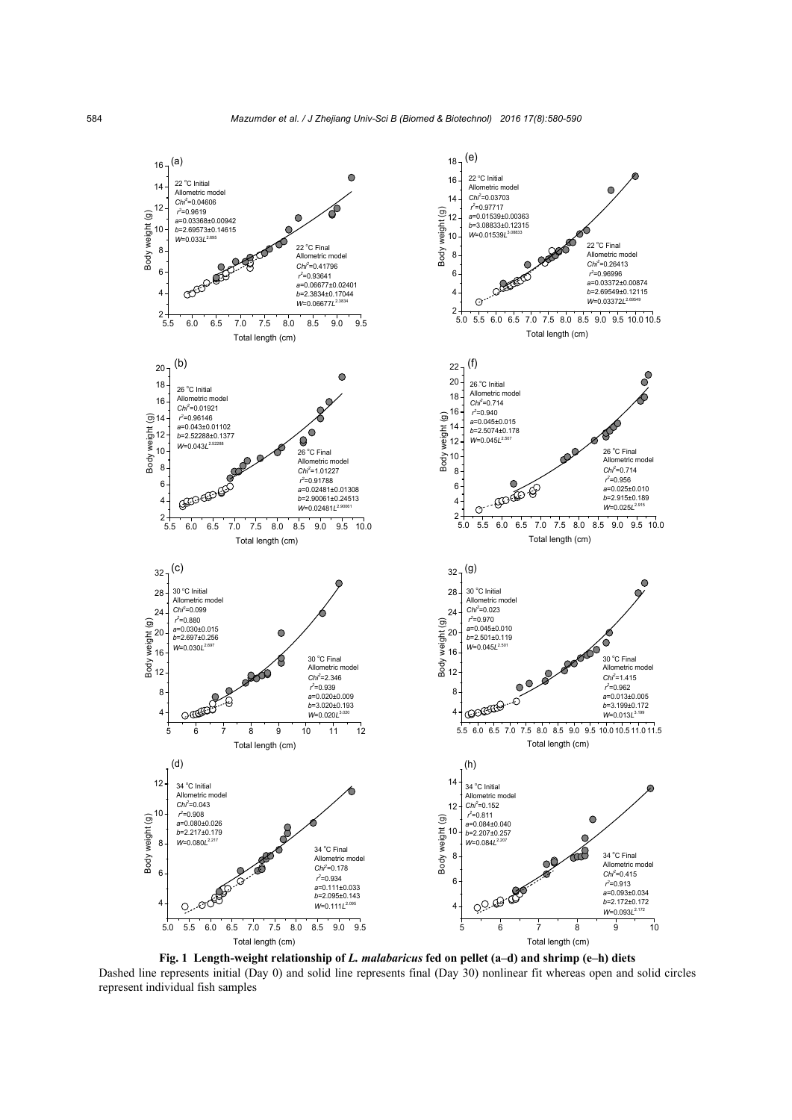

**Fig. 1 Length-weight relationship of** *L. malabaricus* **fed on pellet (a–d) and shrimp (e–h) diets** Dashed line represents initial (Day 0) and solid line represents final (Day 30) nonlinear fit whereas open and solid circles represent individual fish samples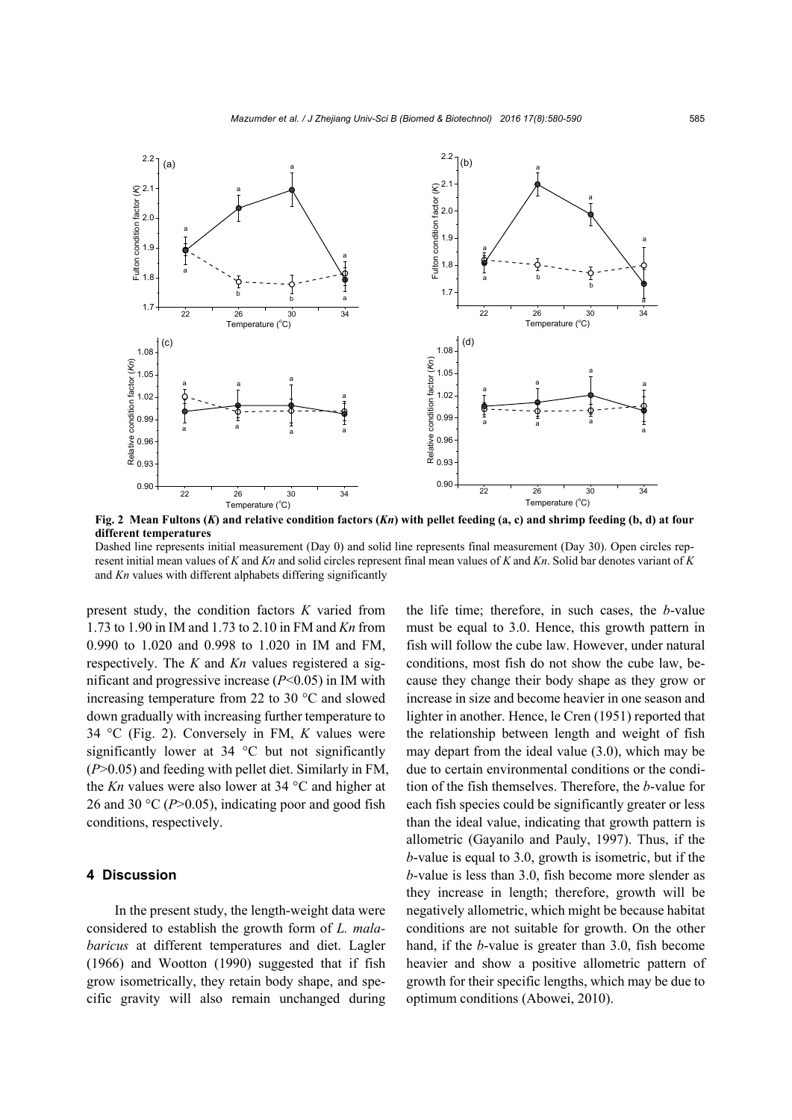

**Fig. 2 Mean Fultons (***K***) and relative condition factors (***Kn***) with pellet feeding (a, c) and shrimp feeding (b, d) at four different temperatures** 

Dashed line represents initial measurement (Day 0) and solid line represents final measurement (Day 30). Open circles represent initial mean values of *K* and *Kn* and solid circles represent final mean values of *K* and *Kn*. Solid bar denotes variant of *K* and *Kn* values with different alphabets differing significantly

present study, the condition factors *K* varied from 1.73 to 1.90 in IM and 1.73 to 2.10 in FM and *Kn* from 0.990 to 1.020 and 0.998 to 1.020 in IM and FM, respectively. The *K* and *Kn* values registered a significant and progressive increase (*P*<0.05) in IM with increasing temperature from 22 to 30 °C and slowed down gradually with increasing further temperature to 34 °C (Fig. 2). Conversely in FM, *K* values were significantly lower at 34 °C but not significantly (*P*>0.05) and feeding with pellet diet. Similarly in FM, the *Kn* values were also lower at 34 °C and higher at 26 and 30  $\degree$ C (*P*>0.05), indicating poor and good fish conditions, respectively.

#### **4 Discussion**

In the present study, the length-weight data were considered to establish the growth form of *L. malabaricus* at different temperatures and diet. Lagler (1966) and Wootton (1990) suggested that if fish grow isometrically, they retain body shape, and specific gravity will also remain unchanged during the life time; therefore, in such cases, the *b*-value must be equal to 3.0. Hence, this growth pattern in fish will follow the cube law. However, under natural conditions, most fish do not show the cube law, because they change their body shape as they grow or increase in size and become heavier in one season and lighter in another. Hence, le Cren (1951) reported that the relationship between length and weight of fish may depart from the ideal value (3.0), which may be due to certain environmental conditions or the condition of the fish themselves. Therefore, the *b*-value for each fish species could be significantly greater or less than the ideal value, indicating that growth pattern is allometric (Gayanilo and Pauly, 1997). Thus, if the *b*-value is equal to 3.0, growth is isometric, but if the *b*-value is less than 3.0, fish become more slender as they increase in length; therefore, growth will be negatively allometric, which might be because habitat conditions are not suitable for growth. On the other hand, if the *b*-value is greater than 3.0, fish become heavier and show a positive allometric pattern of growth for their specific lengths, which may be due to optimum conditions (Abowei, 2010).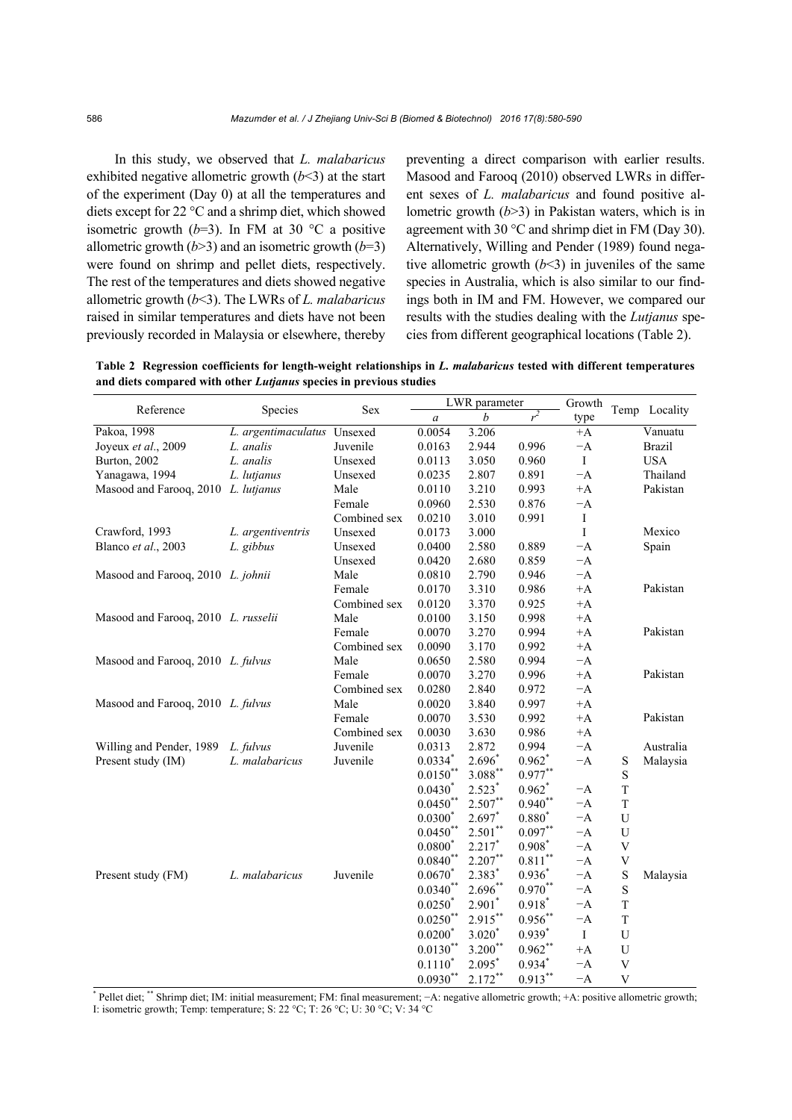In this study, we observed that *L. malabaricus* exhibited negative allometric growth  $(b<3)$  at the start of the experiment (Day 0) at all the temperatures and diets except for 22 °C and a shrimp diet, which showed isometric growth  $(b=3)$ . In FM at 30 °C a positive allometric growth  $(b>3)$  and an isometric growth  $(b=3)$ were found on shrimp and pellet diets, respectively. The rest of the temperatures and diets showed negative allometric growth (*b*<3). The LWRs of *L. malabaricus* raised in similar temperatures and diets have not been previously recorded in Malaysia or elsewhere, thereby

preventing a direct comparison with earlier results. Masood and Farooq (2010) observed LWRs in different sexes of *L. malabaricus* and found positive allometric growth (*b*>3) in Pakistan waters, which is in agreement with 30 °C and shrimp diet in FM (Day 30). Alternatively, Willing and Pender (1989) found negative allometric growth  $(b<3)$  in juveniles of the same species in Australia, which is also similar to our findings both in IM and FM. However, we compared our results with the studies dealing with the *Lutjanus* species from different geographical locations (Table 2).

**Table 2 Regression coefficients for length-weight relationships in** *L. malabaricus* **tested with different temperatures and diets compared with other** *Lutjanus* **species in previous studies** 

|                                     |                             |              |                  | LWR parameter      |                      | Growth  |                           |               |
|-------------------------------------|-----------------------------|--------------|------------------|--------------------|----------------------|---------|---------------------------|---------------|
| Reference                           | Species                     | Sex          | $\boldsymbol{a}$ | b                  | $r^2$                | type    |                           | Temp Locality |
| Pakoa, 1998                         | L. argentimaculatus Unsexed |              | 0.0054           | 3.206              |                      | $+A$    |                           | Vanuatu       |
| Joyeux et al., 2009                 | L. analis                   | Juvenile     | 0.0163           | 2.944              | 0.996                | $-A$    |                           | <b>Brazil</b> |
| Burton, 2002                        | L. analis                   | Unsexed      | 0.0113           | 3.050              | 0.960                | $\bf I$ |                           | <b>USA</b>    |
| Yanagawa, 1994                      | L. lutjanus                 | Unsexed      | 0.0235           | 2.807              | 0.891                | $-A$    |                           | Thailand      |
| Masood and Farooq, 2010 L. lutjanus |                             | Male         | 0.0110           | 3.210              | 0.993                | $+A$    |                           | Pakistan      |
|                                     |                             | Female       | 0.0960           | 2.530              | 0.876                | $-A$    |                           |               |
|                                     |                             | Combined sex | 0.0210           | 3.010              | 0.991                | $\rm I$ |                           |               |
| Crawford, 1993                      | L. argentiventris           | Unsexed      | 0.0173           | 3.000              |                      | $\bf I$ |                           | Mexico        |
| Blanco et al., 2003                 | L. gibbus                   | Unsexed      | 0.0400           | 2.580              | 0.889                | $-A$    |                           | Spain         |
|                                     |                             | Unsexed      | 0.0420           | 2.680              | 0.859                | $-A$    |                           |               |
| Masood and Farooq, 2010 L. johnii   |                             | Male         | 0.0810           | 2.790              | 0.946                | $-A$    |                           |               |
|                                     |                             | Female       | 0.0170           | 3.310              | 0.986                | $+A$    |                           | Pakistan      |
|                                     |                             | Combined sex | 0.0120           | 3.370              | 0.925                | $+A$    |                           |               |
| Masood and Farooq, 2010 L. russelii |                             | Male         | 0.0100           | 3.150              | 0.998                | $+A$    |                           |               |
|                                     |                             | Female       | 0.0070           | 3.270              | 0.994                | $+A$    |                           | Pakistan      |
|                                     |                             | Combined sex | 0.0090           | 3.170              | 0.992                | $+A$    |                           |               |
| Masood and Farooq, 2010 L. fulvus   |                             | Male         | 0.0650           | 2.580              | 0.994                | $-A$    |                           |               |
|                                     |                             | Female       | 0.0070           | 3.270              | 0.996                | $+A$    |                           | Pakistan      |
|                                     |                             | Combined sex | 0.0280           | 2.840              | 0.972                | $-A$    |                           |               |
| Masood and Farooq, 2010 L. fulvus   |                             | Male         | 0.0020           | 3.840              | 0.997                | $+A$    |                           |               |
|                                     |                             | Female       | 0.0070           | 3.530              | 0.992                | $+A$    |                           | Pakistan      |
|                                     |                             | Combined sex | 0.0030           | 3.630              | 0.986                | $+A$    |                           |               |
| Willing and Pender, 1989            | L. fulvus                   | Juvenile     | 0.0313           | 2.872              | 0.994                | $-A$    |                           | Australia     |
| Present study (IM)                  | L. malabaricus              | Juvenile     | $0.0334*$        | $2.696*$           | $0.962^*$            | $-A$    | S                         | Malaysia      |
|                                     |                             |              | $0.0150**$       | $3.088***$         | $0.977***$           |         | $\mathbf S$               |               |
|                                     |                             |              | $0.0430*$        | $2.523*$           | $0.962$ <sup>*</sup> | $-A$    | $\mathbf T$               |               |
|                                     |                             |              | $0.0450**$       | $2.507**$          | $0.940**$            | $-A$    | $\mathbf T$               |               |
|                                     |                             |              | $0.0300*$        | $2.697*$           | $0.880*$             | $-A$    | $\mathbf U$               |               |
|                                     |                             |              | $0.0450**$       | $2.501**$          | $0.097**$            | $-A$    | U                         |               |
|                                     |                             |              | $0.0800*$        | $2.217*$           | $0.908*$             | $-A$    | $\ensuremath{\mathbf{V}}$ |               |
|                                     |                             |              | $0.0840**$       | $2.207**$          | $0.811***$           | $-A$    | V                         |               |
| Present study (FM)                  | L. malabaricus              | Juvenile     | $0.0670*$        | 2.383 <sup>*</sup> | $0.936*$             | $-A$    | $\mathbf S$               | Malaysia      |
|                                     |                             |              | $0.0340**$       | $2.696**$          | $0.970**$            | $-A$    | S                         |               |
|                                     |                             |              | $0.0250*$        | $2.901*$           | $0.918*$             | $-A$    | $\mathbf T$               |               |
|                                     |                             |              | $0.0250**$       | $2.915***$         | $0.956***$           | $-A$    | $\mathbf T$               |               |
|                                     |                             |              | $0.0200*$        | $3.020*$           | $0.939*$             | $\rm I$ | U                         |               |
|                                     |                             |              | $0.0130***$      | $3.200**$          | $0.962**$            | $+A$    | $\mathbf U$               |               |
|                                     |                             |              | $0.1110*$        | $2.095*$           | $0.934*$             | $-A$    | $\ensuremath{\mathsf{V}}$ |               |
|                                     |                             |              | $0.0930**$       | $2.172***$         | $0.913***$           | $-A$    | V                         |               |

\* Pellet diet; \*\* Shrimp diet; IM: initial measurement; FM: final measurement; −A: negative allometric growth; +A: positive allometric growth; I: isometric growth; Temp: temperature; S: 22 °C; T: 26 °C; U: 30 °C; V: 34 °C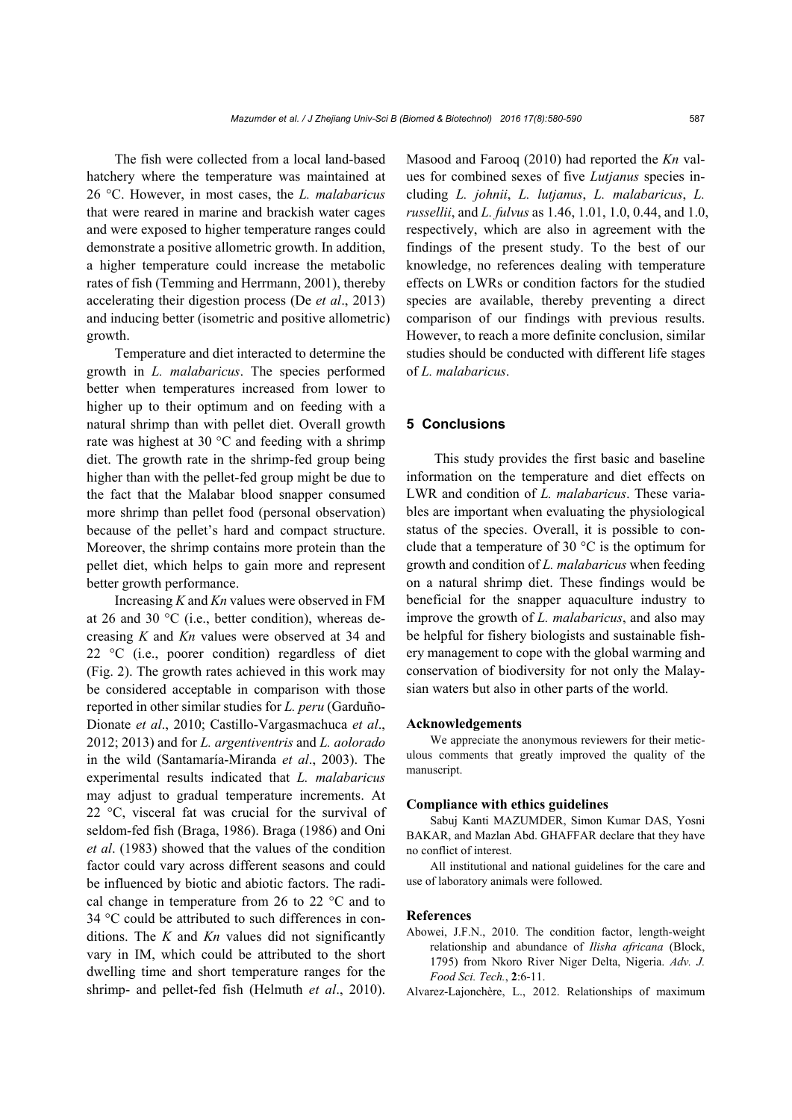The fish were collected from a local land-based hatchery where the temperature was maintained at 26 °C. However, in most cases, the *L. malabaricus* that were reared in marine and brackish water cages and were exposed to higher temperature ranges could demonstrate a positive allometric growth. In addition, a higher temperature could increase the metabolic rates of fish (Temming and Herrmann, 2001), thereby accelerating their digestion process (De *et al*., 2013) and inducing better (isometric and positive allometric) growth.

Temperature and diet interacted to determine the growth in *L. malabaricus*. The species performed better when temperatures increased from lower to higher up to their optimum and on feeding with a natural shrimp than with pellet diet. Overall growth rate was highest at 30 °C and feeding with a shrimp diet. The growth rate in the shrimp-fed group being higher than with the pellet-fed group might be due to the fact that the Malabar blood snapper consumed more shrimp than pellet food (personal observation) because of the pellet's hard and compact structure. Moreover, the shrimp contains more protein than the pellet diet, which helps to gain more and represent better growth performance.

Increasing *K* and *Kn* values were observed in FM at 26 and 30 °C (i.e., better condition), whereas decreasing *K* and *Kn* values were observed at 34 and 22 °C (i.e., poorer condition) regardless of diet (Fig. 2). The growth rates achieved in this work may be considered acceptable in comparison with those reported in other similar studies for *L. peru* (Garduño-Dionate *et al*., 2010; Castillo-Vargasmachuca *et al*., 2012; 2013) and for *L. argentiventris* and *L. aolorado* in the wild (Santamaría-Miranda *et al*., 2003). The experimental results indicated that *L. malabaricus* may adjust to gradual temperature increments. At 22 °C, visceral fat was crucial for the survival of seldom-fed fish (Braga, 1986). Braga (1986) and Oni *et al*. (1983) showed that the values of the condition factor could vary across different seasons and could be influenced by biotic and abiotic factors. The radical change in temperature from 26 to 22 °C and to 34 °C could be attributed to such differences in conditions. The *K* and *Kn* values did not significantly vary in IM, which could be attributed to the short dwelling time and short temperature ranges for the shrimp- and pellet-fed fish (Helmuth *et al*., 2010).

Masood and Farooq (2010) had reported the *Kn* values for combined sexes of five *Lutjanus* species including *L. johnii*, *L. lutjanus*, *L. malabaricus*, *L. russellii*, and *L. fulvus* as 1.46, 1.01, 1.0, 0.44, and 1.0, respectively, which are also in agreement with the findings of the present study. To the best of our knowledge, no references dealing with temperature effects on LWRs or condition factors for the studied species are available, thereby preventing a direct comparison of our findings with previous results. However, to reach a more definite conclusion, similar studies should be conducted with different life stages of *L. malabaricus*.

# **5 Conclusions**

This study provides the first basic and baseline information on the temperature and diet effects on LWR and condition of *L. malabaricus*. These variables are important when evaluating the physiological status of the species. Overall, it is possible to conclude that a temperature of 30 °C is the optimum for growth and condition of *L. malabaricus* when feeding on a natural shrimp diet. These findings would be beneficial for the snapper aquaculture industry to improve the growth of *L. malabaricus*, and also may be helpful for fishery biologists and sustainable fishery management to cope with the global warming and conservation of biodiversity for not only the Malaysian waters but also in other parts of the world.

#### **Acknowledgements**

We appreciate the anonymous reviewers for their meticulous comments that greatly improved the quality of the manuscript.

#### **Compliance with ethics guidelines**

Sabuj Kanti MAZUMDER, Simon Kumar DAS, Yosni BAKAR, and Mazlan Abd. GHAFFAR declare that they have no conflict of interest.

All institutional and national guidelines for the care and use of laboratory animals were followed.

#### **References**

Abowei, J.F.N., 2010. The condition factor, length-weight relationship and abundance of *Ilisha africana* (Block, 1795) from Nkoro River Niger Delta, Nigeria. *Adv. J. Food Sci. Tech.*, **2**:6-11.

Alvarez-Lajonchère, L., 2012. Relationships of maximum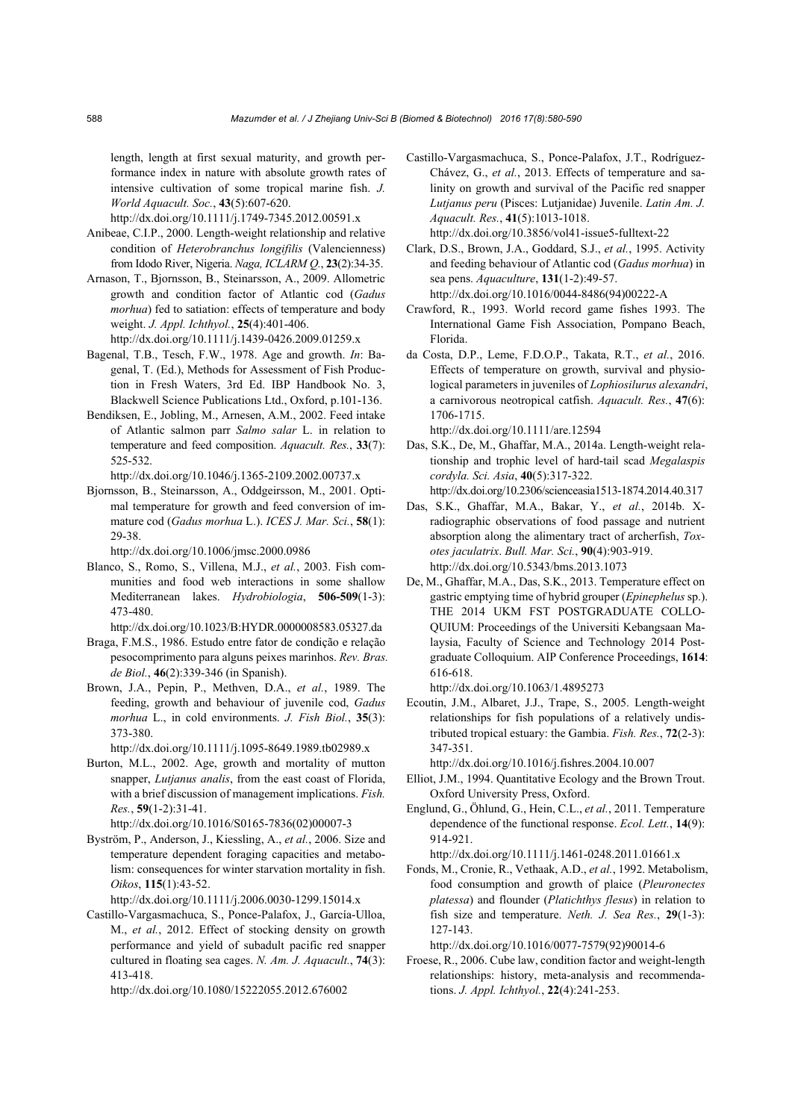length, length at first sexual maturity, and growth performance index in nature with absolute growth rates of intensive cultivation of some tropical marine fish. *J. World Aquacult. Soc.*, **43**(5):607-620.

http://dx.doi.org/10.1111/j.1749-7345.2012.00591.x

- Anibeae, C.I.P., 2000. Length-weight relationship and relative condition of *Heterobranchus longifilis* (Valencienness) from Idodo River, Nigeria. *Naga, ICLARM Q.*, **23**(2):34-35.
- Arnason, T., Bjornsson, B., Steinarsson, A., 2009. Allometric growth and condition factor of Atlantic cod (*Gadus morhua*) fed to satiation: effects of temperature and body weight. *J. Appl. Ichthyol.*, **25**(4):401-406. http://dx.doi.org/10.1111/j.1439-0426.2009.01259.x
- Bagenal, T.B., Tesch, F.W., 1978. Age and growth. *In*: Bagenal, T. (Ed.), Methods for Assessment of Fish Production in Fresh Waters, 3rd Ed. IBP Handbook No. 3, Blackwell Science Publications Ltd., Oxford, p.101-136.
- Bendiksen, E., Jobling, M., Arnesen, A.M., 2002. Feed intake of Atlantic salmon parr *Salmo salar* L. in relation to temperature and feed composition. *Aquacult. Res.*, **33**(7): 525-532.

http://dx.doi.org/10.1046/j.1365-2109.2002.00737.x

Bjornsson, B., Steinarsson, A., Oddgeirsson, M., 2001. Optimal temperature for growth and feed conversion of immature cod (*Gadus morhua* L.). *ICES J. Mar. Sci.*, **58**(1): 29-38.

http://dx.doi.org/10.1006/jmsc.2000.0986

Blanco, S., Romo, S., Villena, M.J., *et al.*, 2003. Fish communities and food web interactions in some shallow Mediterranean lakes. *Hydrobiologia*, **506-509**(1-3): 473-480.

http://dx.doi.org/10.1023/B:HYDR.0000008583.05327.da

- Braga, F.M.S., 1986. Estudo entre fator de condição e relação pesocomprimento para alguns peixes marinhos. *Rev. Bras. de Biol.*, **46**(2):339-346 (in Spanish).
- Brown, J.A., Pepin, P., Methven, D.A., *et al.*, 1989. The feeding, growth and behaviour of juvenile cod, *Gadus morhua* L., in cold environments. *J. Fish Biol.*, **35**(3): 373-380.

http://dx.doi.org/10.1111/j.1095-8649.1989.tb02989.x

Burton, M.L., 2002. Age, growth and mortality of mutton snapper, *Lutjanus analis*, from the east coast of Florida, with a brief discussion of management implications. *Fish. Res.*, **59**(1-2):31-41.

http://dx.doi.org/10.1016/S0165-7836(02)00007-3

Byström, P., Anderson, J., Kiessling, A., *et al.*, 2006. Size and temperature dependent foraging capacities and metabolism: consequences for winter starvation mortality in fish. *Oikos*, **115**(1):43-52.

http://dx.doi.org/10.1111/j.2006.0030-1299.15014.x

Castillo-Vargasmachuca, S., Ponce-Palafox, J., García-Ulloa, M., *et al.*, 2012. Effect of stocking density on growth performance and yield of subadult pacific red snapper cultured in floating sea cages. *N. Am. J. Aquacult.*, **74**(3): 413-418.

http://dx.doi.org/10.1080/15222055.2012.676002

Castillo-Vargasmachuca, S., Ponce-Palafox, J.T., Rodríguez-Chávez, G., *et al.*, 2013. Effects of temperature and salinity on growth and survival of the Pacific red snapper *Lutjanus peru* (Pisces: Lutjanidae) Juvenile. *Latin Am. J. Aquacult. Res.*, **41**(5):1013-1018. http://dx.doi.org/10.3856/vol41-issue5-fulltext-22

Clark, D.S., Brown, J.A., Goddard, S.J., *et al.*, 1995. Activity and feeding behaviour of Atlantic cod (*Gadus morhua*) in sea pens. *Aquaculture*, **131**(1-2):49-57.

http://dx.doi.org/10.1016/0044-8486(94)00222-A

- Crawford, R., 1993. World record game fishes 1993. The International Game Fish Association, Pompano Beach, Florida.
- da Costa, D.P., Leme, F.D.O.P., Takata, R.T., *et al.*, 2016. Effects of temperature on growth, survival and physiological parameters in juveniles of *Lophiosilurus alexandri*, a carnivorous neotropical catfish. *Aquacult. Res.*, **47**(6): 1706-1715.

http://dx.doi.org/10.1111/are.12594

- Das, S.K., De, M., Ghaffar, M.A., 2014a. Length-weight relationship and trophic level of hard-tail scad *Megalaspis cordyla. Sci. Asia*, **40**(5):317-322. http://dx.doi.org/10.2306/scienceasia1513-1874.2014.40.317
- Das, S.K., Ghaffar, M.A., Bakar, Y., *et al.*, 2014b. Xradiographic observations of food passage and nutrient absorption along the alimentary tract of archerfish, *Toxotes jaculatrix*. *Bull. Mar. Sci.*, **90**(4):903-919. http://dx.doi.org/10.5343/bms.2013.1073
- De, M., Ghaffar, M.A., Das, S.K., 2013. Temperature effect on gastric emptying time of hybrid grouper (*Epinephelus* sp.). THE 2014 UKM FST POSTGRADUATE COLLO-QUIUM: Proceedings of the Universiti Kebangsaan Malaysia, Faculty of Science and Technology 2014 Postgraduate Colloquium. AIP Conference Proceedings, **1614**: 616-618.

http://dx.doi.org/10.1063/1.4895273

Ecoutin, J.M., Albaret, J.J., Trape, S., 2005. Length-weight relationships for fish populations of a relatively undistributed tropical estuary: the Gambia. *Fish. Res.*, **72**(2-3): 347-351.

http://dx.doi.org/10.1016/j.fishres.2004.10.007

- Elliot, J.M., 1994. Quantitative Ecology and the Brown Trout. Oxford University Press, Oxford.
- Englund, G., Öhlund, G., Hein, C.L., *et al.*, 2011. Temperature dependence of the functional response. *Ecol. Lett.*, **14**(9): 914-921.

http://dx.doi.org/10.1111/j.1461-0248.2011.01661.x

Fonds, M., Cronie, R., Vethaak, A.D., *et al.*, 1992. Metabolism, food consumption and growth of plaice (*Pleuronectes platessa*) and flounder (*Platichthys flesus*) in relation to fish size and temperature. *Neth. J. Sea Res.*, **29**(1-3): 127-143.

http://dx.doi.org/10.1016/0077-7579(92)90014-6

Froese, R., 2006. Cube law, condition factor and weight-length relationships: history, meta-analysis and recommendations. *J. Appl. Ichthyol.*, **22**(4):241-253.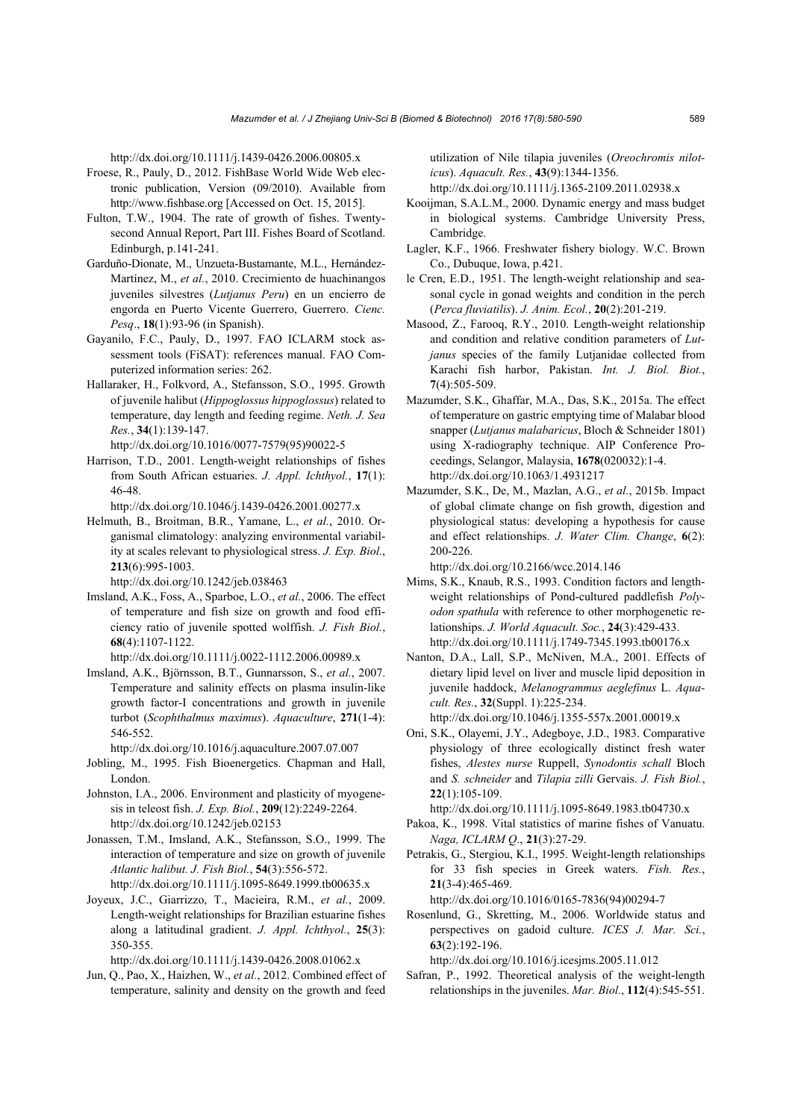http://dx.doi.org/10.1111/j.1439-0426.2006.00805.x

- Froese, R., Pauly, D., 2012. FishBase World Wide Web electronic publication, Version (09/2010). Available from http://www.fishbase.org [Accessed on Oct. 15, 2015].
- Fulton, T.W., 1904. The rate of growth of fishes. Twentysecond Annual Report, Part III. Fishes Board of Scotland. Edinburgh, p.141-241.
- Garduño-Dionate, M., Unzueta-Bustamante, M.L., Hernández-Martínez, M., *et al.*, 2010. Crecimiento de huachinangos juveniles silvestres (*Lutjanus Peru*) en un encierro de engorda en Puerto Vicente Guerrero, Guerrero. *Cienc. Pesq*., **18**(1):93-96 (in Spanish).
- Gayanilo, F.C., Pauly, D., 1997. FAO ICLARM stock assessment tools (FiSAT): references manual. FAO Computerized information series: 262.
- Hallaraker, H., Folkvord, A., Stefansson, S.O., 1995. Growth of juvenile halibut (*Hippoglossus hippoglossus*) related to temperature, day length and feeding regime. *Neth. J. Sea Res.*, **34**(1):139-147.
- http://dx.doi.org/10.1016/0077-7579(95)90022-5 Harrison, T.D., 2001. Length-weight relationships of fishes from South African estuaries. *J. Appl. Ichthyol.*, **17**(1):
- 46-48. http://dx.doi.org/10.1046/j.1439-0426.2001.00277.x
- Helmuth, B., Broitman, B.R., Yamane, L., *et al.*, 2010. Organismal climatology: analyzing environmental variability at scales relevant to physiological stress. *J. Exp. Biol.*, **213**(6):995-1003.

http://dx.doi.org/10.1242/jeb.038463

- Imsland, A.K., Foss, A., Sparboe, L.O., *et al.*, 2006. The effect of temperature and fish size on growth and food efficiency ratio of juvenile spotted wolffish. *J. Fish Biol.*, **68**(4):1107-1122.
- http://dx.doi.org/10.1111/j.0022-1112.2006.00989.x
- Imsland, A.K., Björnsson, B.T., Gunnarsson, S., *et al.*, 2007. Temperature and salinity effects on plasma insulin-like growth factor-I concentrations and growth in juvenile turbot (*Scophthalmus maximus*). *Aquaculture*, **271**(1-4): 546-552.

http://dx.doi.org/10.1016/j.aquaculture.2007.07.007

- Jobling, M., 1995. Fish Bioenergetics. Chapman and Hall, London.
- Johnston, I.A., 2006. Environment and plasticity of myogenesis in teleost fish. *J. Exp. Biol.*, **209**(12):2249-2264. http://dx.doi.org/10.1242/jeb.02153
- Jonassen, T.M., Imsland, A.K., Stefansson, S.O., 1999. The interaction of temperature and size on growth of juvenile *Atlantic halibut. J. Fish Biol.*, **54**(3):556-572. http://dx.doi.org/10.1111/j.1095-8649.1999.tb00635.x
- Joyeux, J.C., Giarrizzo, T., Macieira, R.M., *et al.*, 2009. Length-weight relationships for Brazilian estuarine fishes along a latitudinal gradient. *J. Appl. Ichthyol.*, **25**(3): 350-355.

http://dx.doi.org/10.1111/j.1439-0426.2008.01062.x

Jun, Q., Pao, X., Haizhen, W., *et al.*, 2012. Combined effect of temperature, salinity and density on the growth and feed utilization of Nile tilapia juveniles (*Oreochromis niloticus*). *Aquacult. Res.*, **43**(9):1344-1356.

http://dx.doi.org/10.1111/j.1365-2109.2011.02938.x

- Kooijman, S.A.L.M., 2000. Dynamic energy and mass budget in biological systems. Cambridge University Press, Cambridge.
- Lagler, K.F., 1966. Freshwater fishery biology. W.C. Brown Co., Dubuque, Iowa, p.421.
- le Cren, E.D., 1951. The length-weight relationship and seasonal cycle in gonad weights and condition in the perch (*Perca fluviatilis*). *J. Anim. Ecol.*, **20**(2):201-219.
- Masood, Z., Farooq, R.Y., 2010. Length-weight relationship and condition and relative condition parameters of *Lutjanus* species of the family Lutjanidae collected from Karachi fish harbor, Pakistan. *Int. J. Biol. Biot.*, **7**(4):505-509.
- Mazumder, S.K., Ghaffar, M.A., Das, S.K., 2015a. The effect of temperature on gastric emptying time of Malabar blood snapper (*Lutjanus malabaricus*, Bloch & Schneider 1801) using X-radiography technique. AIP Conference Proceedings, Selangor, Malaysia, **1678**(020032):1-4. http://dx.doi.org/10.1063/1.4931217
- Mazumder, S.K., De, M., Mazlan, A.G., *et al.*, 2015b. Impact of global climate change on fish growth, digestion and physiological status: developing a hypothesis for cause and effect relationships. *J. Water Clim. Change*, **6**(2): 200-226.

http://dx.doi.org/10.2166/wcc.2014.146

- Mims, S.K., Knaub, R.S., 1993. Condition factors and lengthweight relationships of Pond-cultured paddlefish *Polyodon spathula* with reference to other morphogenetic relationships. *J. World Aquacult. Soc.*, **24**(3):429-433. http://dx.doi.org/10.1111/j.1749-7345.1993.tb00176.x
- Nanton, D.A., Lall, S.P., McNiven, M.A., 2001. Effects of dietary lipid level on liver and muscle lipid deposition in juvenile haddock, *Melanogrammus aeglefinus* L. *Aquacult. Res.*, **32**(Suppl. 1):225-234.
	- http://dx.doi.org/10.1046/j.1355-557x.2001.00019.x
- Oni, S.K., Olayemi, J.Y., Adegboye, J.D., 1983. Comparative physiology of three ecologically distinct fresh water fishes, *Alestes nurse* Ruppell, *Synodontis schall* Bloch and *S. schneider* and *Tilapia zilli* Gervais. *J. Fish Biol.*, **22**(1):105-109.

http://dx.doi.org/10.1111/j.1095-8649.1983.tb04730.x

- Pakoa, K., 1998. Vital statistics of marine fishes of Vanuatu. *Naga, ICLARM Q*., **21**(3):27-29.
- Petrakis, G., Stergiou, K.I., 1995. Weight-length relationships for 33 fish species in Greek waters. *Fish. Res.*, **21**(3-4):465-469.

http://dx.doi.org/10.1016/0165-7836(94)00294-7

Rosenlund, G., Skretting, M., 2006. Worldwide status and perspectives on gadoid culture. *ICES J. Mar. Sci.*, **63**(2):192-196.

http://dx.doi.org/10.1016/j.icesjms.2005.11.012

Safran, P., 1992. Theoretical analysis of the weight-length relationships in the juveniles. *Mar. Biol.*, **112**(4):545-551.